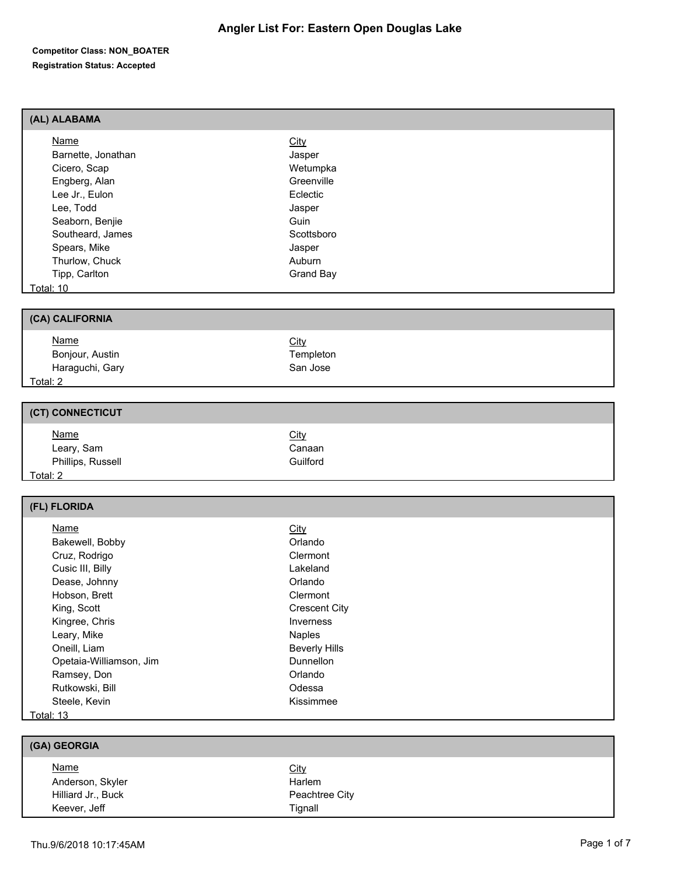#### **Competitor Class: NON\_BOATER Registration Status: Accepted**

#### **(AL) ALABAMA**

| Name               | <b>City</b> |  |
|--------------------|-------------|--|
| Barnette, Jonathan | Jasper      |  |
| Cicero, Scap       | Wetumpka    |  |
| Engberg, Alan      | Greenville  |  |
| Lee Jr., Eulon     | Eclectic    |  |
| Lee, Todd          | Jasper      |  |
| Seaborn, Benjie    | Guin        |  |
| Southeard, James   | Scottsboro  |  |
| Spears, Mike       | Jasper      |  |
| Thurlow, Chuck     | Auburn      |  |
| Tipp, Carlton      | Grand Bay   |  |
| Total: 10          |             |  |
|                    |             |  |

#### **(CA) CALIFORNIA**

| <b>Name</b>     | <u>City</u> |  |
|-----------------|-------------|--|
| Bonjour, Austin | Templeton   |  |
| Haraguchi, Gary | San Jose    |  |
| <u>Total: 2</u> |             |  |

#### **(CT) CONNECTICUT**

| <u>Name</u>       | <b>City</b> |  |
|-------------------|-------------|--|
| Leary, Sam        | Canaan      |  |
| Phillips, Russell | Guilford    |  |
| Total: 2          |             |  |

| (FL) FLORIDA            |                      |  |
|-------------------------|----------------------|--|
| Name                    | <u>City</u>          |  |
| Bakewell, Bobby         | Orlando              |  |
| Cruz, Rodrigo           | Clermont             |  |
| Cusic III, Billy        | Lakeland             |  |
| Dease, Johnny           | Orlando              |  |
| Hobson, Brett           | Clermont             |  |
| King, Scott             | <b>Crescent City</b> |  |
| Kingree, Chris          | Inverness            |  |
| Leary, Mike             | <b>Naples</b>        |  |
| Oneill, Liam            | <b>Beverly Hills</b> |  |
| Opetaia-Williamson, Jim | Dunnellon            |  |
| Ramsey, Don             | Orlando              |  |
| Rutkowski, Bill         | Odessa               |  |

#### Steele, Kevin Kissimmee Total: 13

| (GA) GEORGIA       |                |  |
|--------------------|----------------|--|
| <b>Name</b>        | <b>City</b>    |  |
| Anderson, Skyler   | Harlem         |  |
| Hilliard Jr., Buck | Peachtree City |  |
| Keever, Jeff       | Tignall        |  |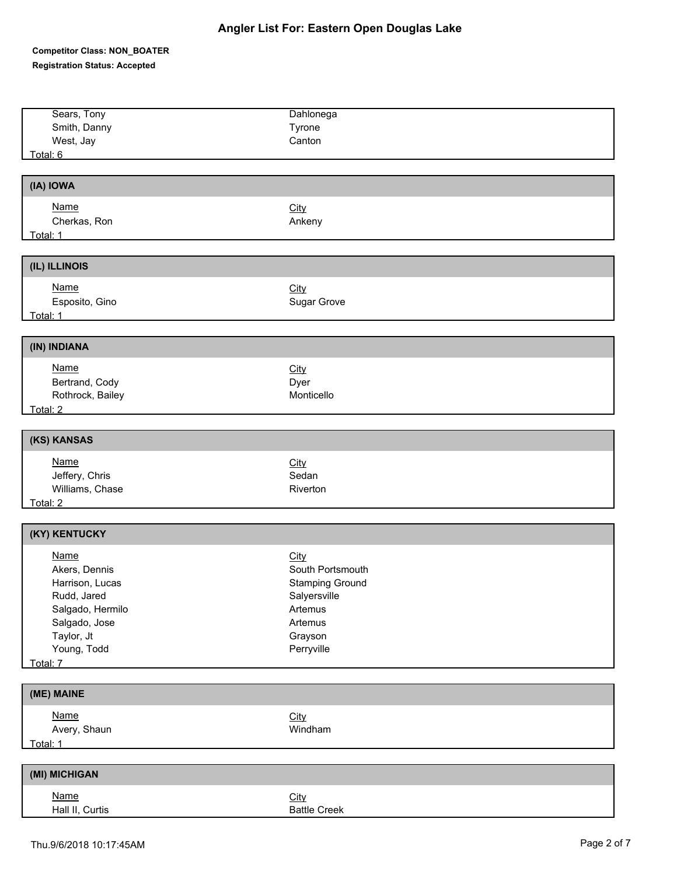## **Competitor Class: NON\_BOATER Registration Status: Accepted**

| Sears, Tony                                                                                                                                                                                                                         | Dahlonega            |
|-------------------------------------------------------------------------------------------------------------------------------------------------------------------------------------------------------------------------------------|----------------------|
| Smith, Danny                                                                                                                                                                                                                        | Tyrone               |
| West, Jay                                                                                                                                                                                                                           | Canton               |
| Total: 6                                                                                                                                                                                                                            |                      |
|                                                                                                                                                                                                                                     |                      |
| (IA) IOWA                                                                                                                                                                                                                           |                      |
| <b>Name</b>                                                                                                                                                                                                                         | <b>City</b>          |
| Cherkas, Ron                                                                                                                                                                                                                        | Ankeny               |
| Total: 1                                                                                                                                                                                                                            |                      |
|                                                                                                                                                                                                                                     |                      |
| (IL) ILLINOIS                                                                                                                                                                                                                       |                      |
| Name                                                                                                                                                                                                                                | City                 |
| Esposito, Gino                                                                                                                                                                                                                      | Sugar Grove          |
|                                                                                                                                                                                                                                     |                      |
|                                                                                                                                                                                                                                     |                      |
| (IN) INDIANA                                                                                                                                                                                                                        |                      |
| <b>Name</b>                                                                                                                                                                                                                         | City                 |
| Bertrand, Cody                                                                                                                                                                                                                      | Dyer                 |
| Rothrock, Bailey                                                                                                                                                                                                                    | Monticello           |
| Total: 2 <b>and 2</b> and 2 and 2 and 2 and 2 and 2 and 2 and 2 and 2 and 2 and 2 and 2 and 2 and 2 and 2 and 2 and 2 and 2 and 2 and 2 and 2 and 2 and 2 and 2 and 2 and 2 and 2 and 2 and 2 and 2 and 2 and 2 and 2 and 2 and 2 a |                      |
| (KS) KANSAS                                                                                                                                                                                                                         |                      |
|                                                                                                                                                                                                                                     |                      |
| <b>Name</b>                                                                                                                                                                                                                         | <b>City</b><br>Sedan |
| Jeffery, Chris<br>Williams, Chase                                                                                                                                                                                                   | Riverton             |
| Total: 2                                                                                                                                                                                                                            |                      |
|                                                                                                                                                                                                                                     |                      |
| (KY) KENTUCKY                                                                                                                                                                                                                       |                      |
| <b>Name</b>                                                                                                                                                                                                                         | City                 |
| Akers, Dennis                                                                                                                                                                                                                       | South Portsmouth     |
| Harrison, Lucas                                                                                                                                                                                                                     | Stamping Ground      |
| Rudd, Jared                                                                                                                                                                                                                         | Salyersville         |
| Salgado, Hermilo                                                                                                                                                                                                                    | Artemus              |
| Salgado, Jose                                                                                                                                                                                                                       | Artemus              |
| Taylor, Jt                                                                                                                                                                                                                          | Grayson              |
| Young, Todd                                                                                                                                                                                                                         | Perryville           |
| Total: 7                                                                                                                                                                                                                            |                      |
| (ME) MAINE                                                                                                                                                                                                                          |                      |
|                                                                                                                                                                                                                                     |                      |
| <b>Name</b><br>Avery, Shaun                                                                                                                                                                                                         | City<br>Windham      |
| Total: 1                                                                                                                                                                                                                            |                      |
|                                                                                                                                                                                                                                     |                      |
| (MI) MICHIGAN                                                                                                                                                                                                                       |                      |
| <b>Name</b>                                                                                                                                                                                                                         | City                 |
| Hall II, Curtis                                                                                                                                                                                                                     | <b>Battle Creek</b>  |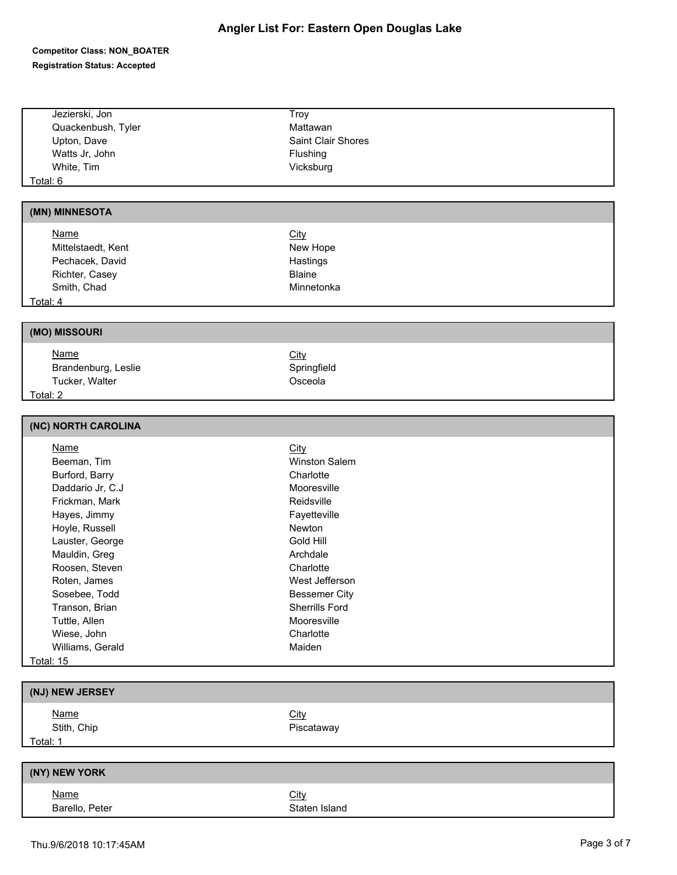#### **Competitor Class: NON\_BOATER Registration Status: Accepted**

| Jezierski, Jon      | Troy               |  |
|---------------------|--------------------|--|
| Quackenbush, Tyler  | Mattawan           |  |
| Upton, Dave         | Saint Clair Shores |  |
| Watts Jr, John      | Flushing           |  |
| White, Tim          | Vicksburg          |  |
| Total: 6            |                    |  |
|                     |                    |  |
| (MN) MINNESOTA      |                    |  |
| <b>Name</b>         | <b>City</b>        |  |
| Mittelstaedt, Kent  | New Hope           |  |
| Pechacek, David     | Hastings           |  |
| Richter, Casey      | <b>Blaine</b>      |  |
| Smith, Chad         | Minnetonka         |  |
| Total: 4            |                    |  |
|                     |                    |  |
| (MO) MISSOURI       |                    |  |
| <b>Name</b>         | City               |  |
| Brandenburg, Leslie | Springfield        |  |
| Tucker, Walter      | Osceola            |  |
| Total: 2            |                    |  |
|                     |                    |  |
| (NC) NORTH CAROLINA |                    |  |
| <b>Name</b>         | City               |  |
| Beeman, Tim         | Winston Salem      |  |
| Burford, Barry      | Charlotte          |  |
| Daddario Jr, C.J    | Mooresville        |  |
| Frickman, Mark      | Reidsville         |  |
| Hayes, Jimmy        | Fayetteville       |  |
| Hoyle, Russell      | Newton             |  |
| Lauster, George     | Gold Hill          |  |
| Mauldin, Greg       | Archdale           |  |
| Roosen, Steven      | Charlotte          |  |

| Williams, Gerald | Maiden        |
|------------------|---------------|
| <b>Total: 15</b> |               |
|                  |               |
| (NJ) NEW JERSEY  |               |
| <b>Name</b>      | <b>City</b>   |
| Stith, Chip      | Piscataway    |
| Total: 1         |               |
|                  |               |
| (NY) NEW YORK    |               |
| <b>Name</b>      | <b>City</b>   |
| Barello, Peter   | Staten Island |

Roten, James West Jefferson Sosebee, Todd Bessemer City Transon, Brian Sherrills Ford Tuttle, Allen Mooresville Wiese, John **Charlotte**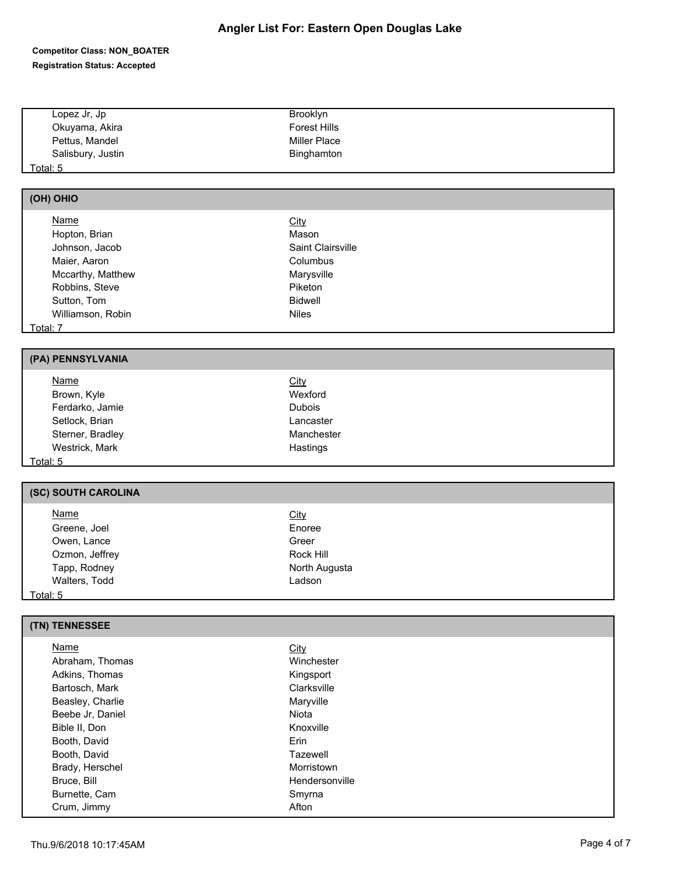#### **Competitor Class: NON\_BOATER Registration Status: Accepted**

| Lopez Jr, Jp      | Brooklyn            |  |
|-------------------|---------------------|--|
| Okuyama, Akira    | <b>Forest Hills</b> |  |
| Pettus, Mandel    | Miller Place        |  |
| Salisbury, Justin | Binghamton          |  |
| <u> Total: 5</u>  |                     |  |

#### **(OH) OHIO**

| Name              | <b>City</b>       |  |
|-------------------|-------------------|--|
| Hopton, Brian     | Mason             |  |
| Johnson, Jacob    | Saint Clairsville |  |
| Maier, Aaron      | Columbus          |  |
| Mccarthy, Matthew | Marysville        |  |
| Robbins, Steve    | Piketon           |  |
| Sutton, Tom       | <b>Bidwell</b>    |  |
| Williamson, Robin | <b>Niles</b>      |  |
| Total: 7          |                   |  |

### **(PA) PENNSYLVANIA**

| <b>Name</b>      | <u>City</u>   |  |
|------------------|---------------|--|
| Brown, Kyle      | Wexford       |  |
| Ferdarko, Jamie  | <b>Dubois</b> |  |
| Setlock, Brian   | Lancaster     |  |
| Sterner, Bradley | Manchester    |  |
| Westrick, Mark   | Hastings      |  |
| Total: $5$       |               |  |

## **(SC) SOUTH CAROLINA**

| <b>Name</b>    | <u>City</u>   |  |
|----------------|---------------|--|
| Greene, Joel   | Enoree        |  |
| Owen, Lance    | Greer         |  |
| Ozmon, Jeffrey | Rock Hill     |  |
| Tapp, Rodney   | North Augusta |  |
| Walters, Todd  | Ladson        |  |
| Total: 5       |               |  |

### **(TN) TENNESSEE**

| Name             | <b>City</b>    |  |
|------------------|----------------|--|
| Abraham, Thomas  | Winchester     |  |
| Adkins, Thomas   | Kingsport      |  |
| Bartosch, Mark   | Clarksville    |  |
| Beasley, Charlie | Maryville      |  |
| Beebe Jr, Daniel | Niota          |  |
| Bible II, Don    | Knoxville      |  |
| Booth, David     | Erin           |  |
| Booth, David     | Tazewell       |  |
| Brady, Herschel  | Morristown     |  |
| Bruce, Bill      | Hendersonville |  |
| Burnette, Cam    | Smyrna         |  |
| Crum, Jimmy      | Afton          |  |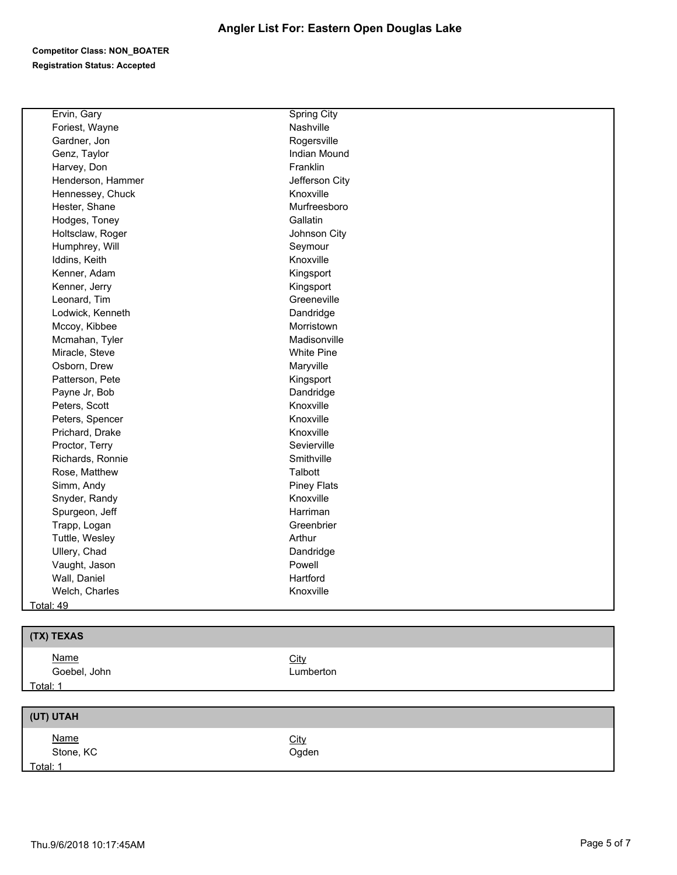### **Competitor Class: NON\_BOATER Registration Status: Accepted**

| Ervin, Gary       | <b>Spring City</b> |
|-------------------|--------------------|
| Foriest, Wayne    | Nashville          |
| Gardner, Jon      | Rogersville        |
| Genz, Taylor      | Indian Mound       |
| Harvey, Don       | Franklin           |
| Henderson, Hammer | Jefferson City     |
| Hennessey, Chuck  | Knoxville          |
| Hester, Shane     | Murfreesboro       |
| Hodges, Toney     | Gallatin           |
| Holtsclaw, Roger  | Johnson City       |
| Humphrey, Will    | Seymour            |
| Iddins, Keith     | Knoxville          |
| Kenner, Adam      | Kingsport          |
| Kenner, Jerry     | Kingsport          |
| Leonard, Tim      | Greeneville        |
| Lodwick, Kenneth  | Dandridge          |
| Mccoy, Kibbee     | Morristown         |
| Mcmahan, Tyler    | Madisonville       |
| Miracle, Steve    | <b>White Pine</b>  |
| Osborn, Drew      | Maryville          |
| Patterson, Pete   | Kingsport          |
| Payne Jr, Bob     | Dandridge          |
| Peters, Scott     | Knoxville          |
| Peters, Spencer   | Knoxville          |
| Prichard, Drake   | Knoxville          |
| Proctor, Terry    | Sevierville        |
| Richards, Ronnie  | Smithville         |
| Rose, Matthew     | Talbott            |
| Simm, Andy        | <b>Piney Flats</b> |
| Snyder, Randy     | Knoxville          |
| Spurgeon, Jeff    | Harriman           |
| Trapp, Logan      | Greenbrier         |
| Tuttle, Wesley    | Arthur             |
| Ullery, Chad      | Dandridge          |
| Vaught, Jason     | Powell             |
| Wall, Daniel      | Hartford           |
| Welch, Charles    | Knoxville          |
| Total: 49         |                    |
|                   |                    |

| (TX) TEXAS                  |                   |
|-----------------------------|-------------------|
| <b>Name</b><br>Goebel, John | City<br>Lumberton |
| Total: 1                    |                   |
|                             |                   |
| (UT) UTAH                   |                   |

| <u>Name</u> | <b>City</b> |
|-------------|-------------|
| Stone, KC   | Ogden       |
| Total: 1    |             |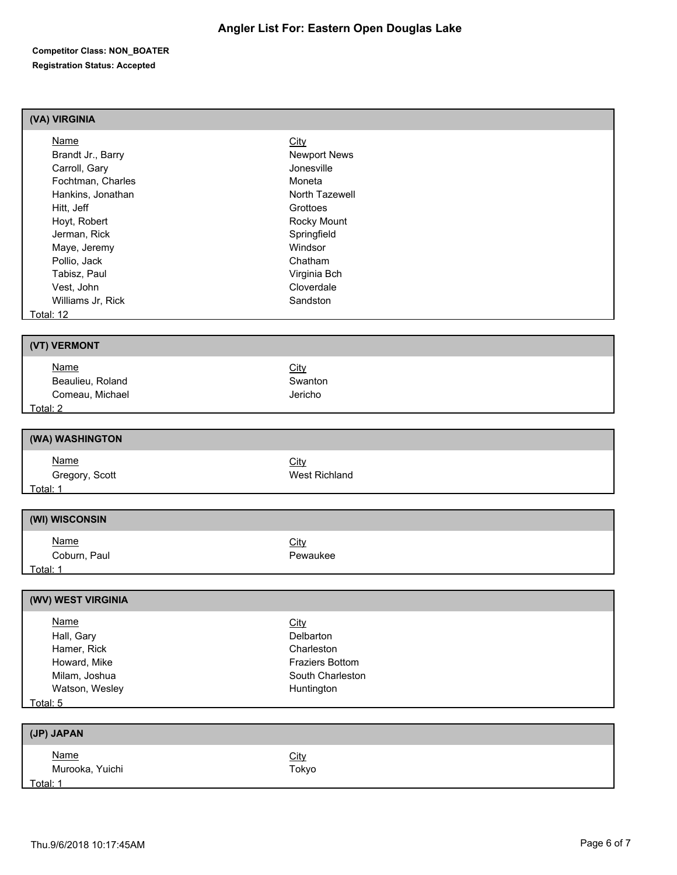#### **Competitor Class: NON\_BOATER Registration Status: Accepted**

## **(VA) VIRGINIA**

| Name                | <b>City</b>         |
|---------------------|---------------------|
| Brandt Jr., Barry   | <b>Newport News</b> |
| Carroll, Gary       | Jonesville          |
| Fochtman, Charles   | Moneta              |
| Hankins, Jonathan   | North Tazewell      |
| Hitt, Jeff          | Grottoes            |
| Hoyt, Robert        | Rocky Mount         |
| Jerman, Rick        | Springfield         |
| Maye, Jeremy        | Windsor             |
| Pollio, Jack        | Chatham             |
| Tabisz, Paul        | Virginia Bch        |
| Vest, John          | Cloverdale          |
| Williams Jr. Rick   | Sandston            |
| $T$ otol $\cdot$ 12 |                     |

<u>Total:</u>

| (VT) VERMONT     |             |  |
|------------------|-------------|--|
| <u>Name</u>      | <b>City</b> |  |
| Beaulieu, Roland | Swanton     |  |
| Comeau, Michael  | Jericho     |  |
| Total: 2         |             |  |

# **(WA) WASHINGTON** Name<br>
Gregory, Scott<br>
Gregory, Scott Gregory, Scott Total: 1

Name City Coburn, Paul **Pewaukee** 

#### Total: 1

| (WV) WEST VIRGINIA |                        |  |
|--------------------|------------------------|--|
| Name               | <b>City</b>            |  |
| Hall, Gary         | Delbarton              |  |
| Hamer, Rick        | Charleston             |  |
| Howard, Mike       | <b>Fraziers Bottom</b> |  |
| Milam, Joshua      | South Charleston       |  |
| Watson, Wesley     | Huntington             |  |
| Total: 5           |                        |  |
|                    |                        |  |

| (JP) JAPAN                     |                      |
|--------------------------------|----------------------|
| <u>Name</u><br>Murooka, Yuichi | <u>City</u><br>Tokyo |
| Total: 1                       |                      |